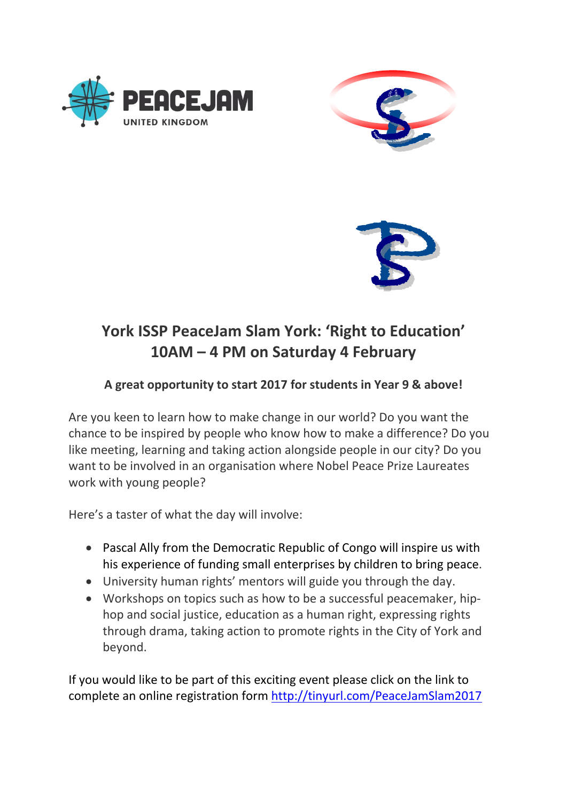





## **York ISSP PeaceJam Slam York: 'Right to Education' 10AM – 4 PM on Saturday 4 February**

## **A great opportunity to start 2017 for students in Year 9 & above!**

Are you keen to learn how to make change in our world? Do you want the chance to be inspired by people who know how to make a difference? Do you like meeting, learning and taking action alongside people in our city? Do you want to be involved in an organisation where Nobel Peace Prize Laureates work with young people?

Here's a taster of what the day will involve:

- Pascal Ally from the Democratic Republic of Congo will inspire us with his experience of funding small enterprises by children to bring peace.
- University human rights' mentors will guide you through the day.
- Workshops on topics such as how to be a successful peacemaker, hiphop and social justice, education as a human right, expressing rights through drama, taking action to promote rights in the City of York and beyond.

If you would like to be part of this exciting event please click on the link to complete an online registration form<http://tinyurl.com/PeaceJamSlam2017>